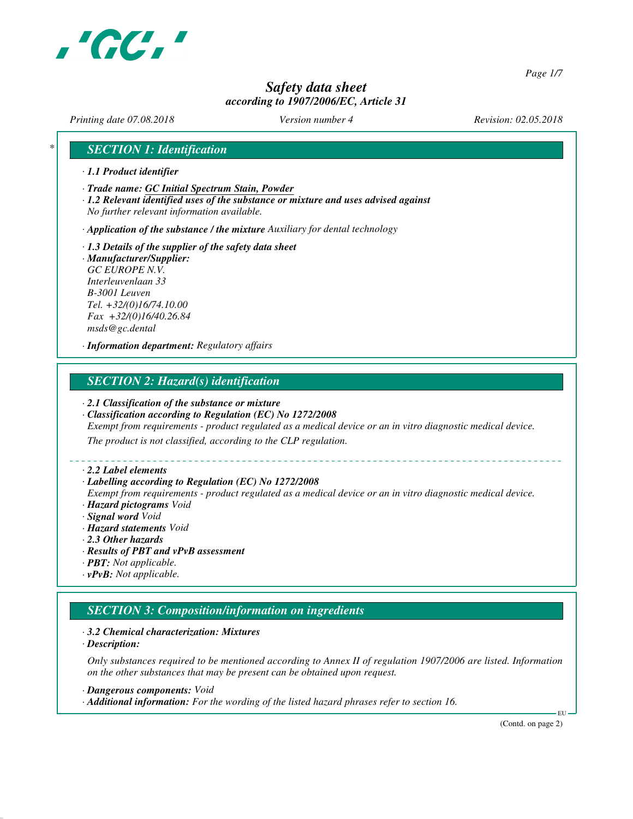

*Page 1/7*

# *Safety data sheet according to 1907/2006/EC, Article 31*

*Printing date 07.08.2018 Version number 4 Revision: 02.05.2018*

## *\* SECTION 1: Identification*

- *· 1.1 Product identifier*
- *· Trade name: GC Initial Spectrum Stain, Powder*
- *· 1.2 Relevant identified uses of the substance or mixture and uses advised against No further relevant information available.*

*· Application of the substance / the mixture Auxiliary for dental technology*

*· 1.3 Details of the supplier of the safety data sheet · Manufacturer/Supplier: GC EUROPE N.V. Interleuvenlaan 33 B-3001 Leuven Tel. +32/(0)16/74.10.00 Fax +32/(0)16/40.26.84 msds@gc.dental*

*· Information department: Regulatory affairs*

## *SECTION 2: Hazard(s) identification*

#### *· 2.1 Classification of the substance or mixture*

- *· Classification according to Regulation (EC) No 1272/2008 Exempt from requirements - product regulated as a medical device or an in vitro diagnostic medical device. The product is not classified, according to the CLP regulation.*
- *· 2.2 Label elements*
- *· Labelling according to Regulation (EC) No 1272/2008*
- *Exempt from requirements product regulated as a medical device or an in vitro diagnostic medical device.*
- *· Hazard pictograms Void*
- *· Signal word Void*
- *· Hazard statements Void*
- *· 2.3 Other hazards*
- *· Results of PBT and vPvB assessment*
- *· PBT: Not applicable.*
- *· vPvB: Not applicable.*

## *SECTION 3: Composition/information on ingredients*

- *· 3.2 Chemical characterization: Mixtures*
- *· Description:*

*Only substances required to be mentioned according to Annex II of regulation 1907/2006 are listed. Information on the other substances that may be present can be obtained upon request.*

- *· Dangerous components: Void*
- *· Additional information: For the wording of the listed hazard phrases refer to section 16.*

(Contd. on page 2)

EU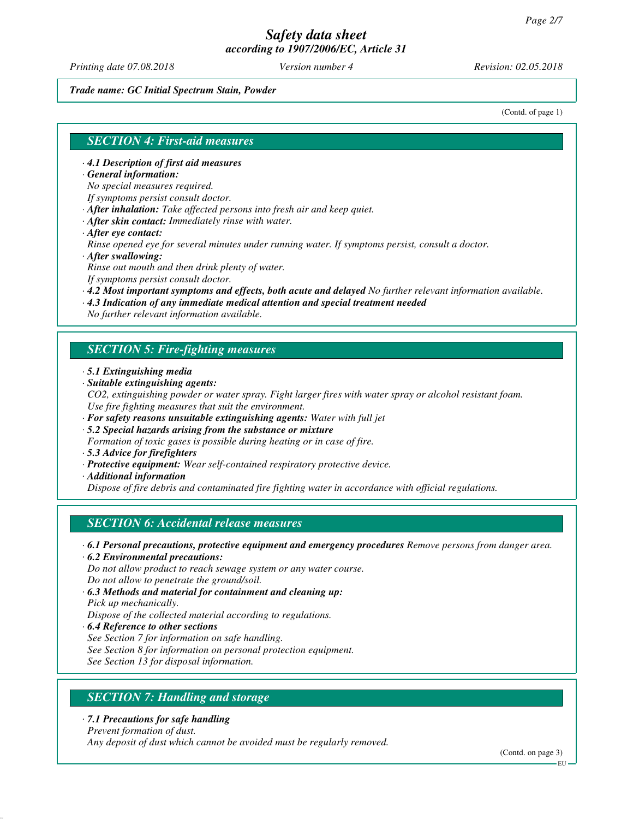*Printing date 07.08.2018 Version number 4 Revision: 02.05.2018*

#### *Trade name: GC Initial Spectrum Stain, Powder*

(Contd. of page 1)

#### *SECTION 4: First-aid measures*

- *· 4.1 Description of first aid measures*
- *· General information:*

*No special measures required.*

*If symptoms persist consult doctor.*

- *· After inhalation: Take affected persons into fresh air and keep quiet.*
- *· After skin contact: Immediately rinse with water.*
- *· After eye contact:*

*Rinse opened eye for several minutes under running water. If symptoms persist, consult a doctor. · After swallowing:*

*Rinse out mouth and then drink plenty of water.*

*If symptoms persist consult doctor.*

- *· 4.2 Most important symptoms and effects, both acute and delayed No further relevant information available.*
- *· 4.3 Indication of any immediate medical attention and special treatment needed*

*No further relevant information available.*

#### *SECTION 5: Fire-fighting measures*

- *· 5.1 Extinguishing media*
- *· Suitable extinguishing agents:*
- *CO2, extinguishing powder or water spray. Fight larger fires with water spray or alcohol resistant foam. Use fire fighting measures that suit the environment.*
- *· For safety reasons unsuitable extinguishing agents: Water with full jet*
- *· 5.2 Special hazards arising from the substance or mixture*
- *Formation of toxic gases is possible during heating or in case of fire.*
- *· 5.3 Advice for firefighters*
- *· Protective equipment: Wear self-contained respiratory protective device.*
- *· Additional information*

*Dispose of fire debris and contaminated fire fighting water in accordance with official regulations.*

#### *SECTION 6: Accidental release measures*

- *· 6.1 Personal precautions, protective equipment and emergency procedures Remove persons from danger area.*
- *· 6.2 Environmental precautions:*

*Do not allow product to reach sewage system or any water course. Do not allow to penetrate the ground/soil.*

- *· 6.3 Methods and material for containment and cleaning up: Pick up mechanically. Dispose of the collected material according to regulations.*
- *· 6.4 Reference to other sections*
- *See Section 7 for information on safe handling.*
- *See Section 8 for information on personal protection equipment.*

*See Section 13 for disposal information.*

# *SECTION 7: Handling and storage*

*· 7.1 Precautions for safe handling*

*Prevent formation of dust.*

*Any deposit of dust which cannot be avoided must be regularly removed.*

(Contd. on page 3)

EU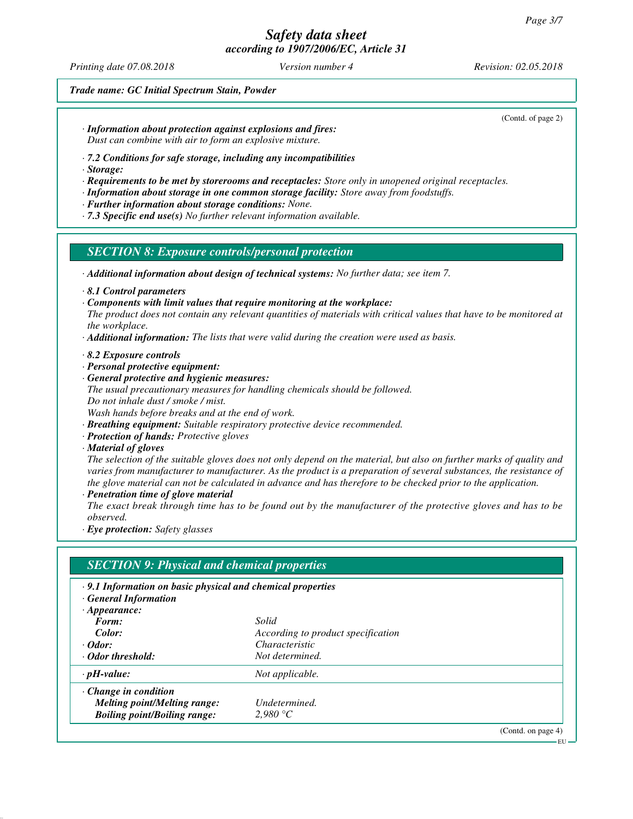*Printing date 07.08.2018 Version number 4 Revision: 02.05.2018*

(Contd. of page 2)

*Trade name: GC Initial Spectrum Stain, Powder*

*· Information about protection against explosions and fires:*

*Dust can combine with air to form an explosive mixture.*

*· 7.2 Conditions for safe storage, including any incompatibilities*

*· Storage:*

*· Requirements to be met by storerooms and receptacles: Store only in unopened original receptacles.*

*· Information about storage in one common storage facility: Store away from foodstuffs.*

*· Further information about storage conditions: None.*

*· 7.3 Specific end use(s) No further relevant information available.*

## *SECTION 8: Exposure controls/personal protection*

*· Additional information about design of technical systems: No further data; see item 7.*

*· 8.1 Control parameters*

*· Components with limit values that require monitoring at the workplace:*

*The product does not contain any relevant quantities of materials with critical values that have to be monitored at the workplace.*

*· Additional information: The lists that were valid during the creation were used as basis.*

*· 8.2 Exposure controls*

*· Personal protective equipment:*

*· General protective and hygienic measures: The usual precautionary measures for handling chemicals should be followed. Do not inhale dust / smoke / mist. Wash hands before breaks and at the end of work.*

*· Breathing equipment: Suitable respiratory protective device recommended.*

*· Protection of hands: Protective gloves*

*· Material of gloves*

*The selection of the suitable gloves does not only depend on the material, but also on further marks of quality and varies from manufacturer to manufacturer. As the product is a preparation of several substances, the resistance of the glove material can not be calculated in advance and has therefore to be checked prior to the application. · Penetration time of glove material*

*The exact break through time has to be found out by the manufacturer of the protective gloves and has to be observed.*

*· Eye protection: Safety glasses*

# *SECTION 9: Physical and chemical properties*

- *· 9.1 Information on basic physical and chemical properties*
- *· General Information*

| $\cdot$ Appearance:                 |                                    |
|-------------------------------------|------------------------------------|
| Form:                               | Solid                              |
| Color:                              | According to product specification |
| $\cdot$ Odor:                       | <i>Characteristic</i>              |
| Odor threshold:                     | Not determined.                    |
| $\cdot$ pH-value:                   | Not applicable.                    |
| $\cdot$ Change in condition         |                                    |
| <b>Melting point/Melting range:</b> | Undetermined.                      |
| <b>Boiling point/Boiling range:</b> | 2.980 $\degree$ C                  |
|                                     | (Contd. on page 4)                 |

 $-$ EU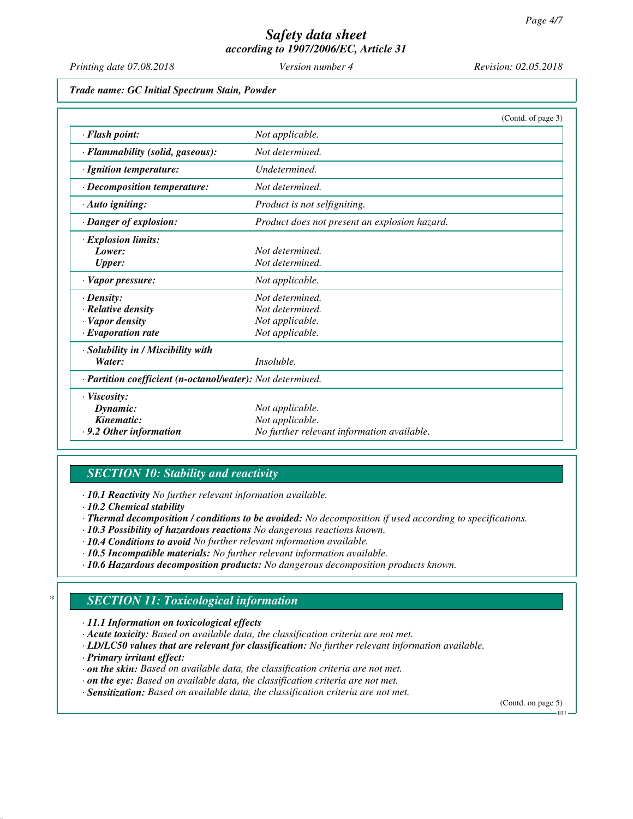*Printing date 07.08.2018 Version number 4 Revision: 02.05.2018*

*Trade name: GC Initial Spectrum Stain, Powder*

|                                                            | (Contd. of page 3)                            |
|------------------------------------------------------------|-----------------------------------------------|
| · Flash point:                                             | Not applicable.                               |
| · Flammability (solid, gaseous):                           | Not determined.                               |
| · Ignition temperature:                                    | Undetermined.                                 |
| $\cdot$ Decomposition temperature:                         | Not determined.                               |
| $\cdot$ Auto igniting:                                     | Product is not selfigniting.                  |
| · Danger of explosion:                                     | Product does not present an explosion hazard. |
| $\cdot$ Explosion limits:                                  |                                               |
| Lower:                                                     | Not determined.                               |
| <b>Upper:</b>                                              | Not determined.                               |
| · Vapor pressure:                                          | Not applicable.                               |
| $\cdot$ Density:                                           | Not determined.                               |
| · Relative density                                         | Not determined.                               |
| · Vapor density                                            | Not applicable.                               |
| $\cdot$ Evaporation rate                                   | Not applicable.                               |
| · Solubility in / Miscibility with                         |                                               |
| Water:                                                     | Insoluble.                                    |
| · Partition coefficient (n-octanol/water): Not determined. |                                               |
| $\cdot$ Viscosity:                                         |                                               |
| Dynamic:                                                   | Not applicable.                               |
| Kinematic:                                                 | Not applicable.                               |
| .9.2 Other information                                     | No further relevant information available.    |

# *SECTION 10: Stability and reactivity*

*· 10.1 Reactivity No further relevant information available.*

*· 10.2 Chemical stability*

*· Thermal decomposition / conditions to be avoided: No decomposition if used according to specifications.*

*· 10.3 Possibility of hazardous reactions No dangerous reactions known.*

*· 10.4 Conditions to avoid No further relevant information available.*

- *· 10.5 Incompatible materials: No further relevant information available.*
- *· 10.6 Hazardous decomposition products: No dangerous decomposition products known.*

# *\* SECTION 11: Toxicological information*

*· 11.1 Information on toxicological effects*

- *· Acute toxicity: Based on available data, the classification criteria are not met.*
- *· LD/LC50 values that are relevant for classification: No further relevant information available.*

*· Primary irritant effect:*

- *· on the skin: Based on available data, the classification criteria are not met.*
- *· on the eye: Based on available data, the classification criteria are not met.*

*· Sensitization: Based on available data, the classification criteria are not met.*

(Contd. on page 5) EU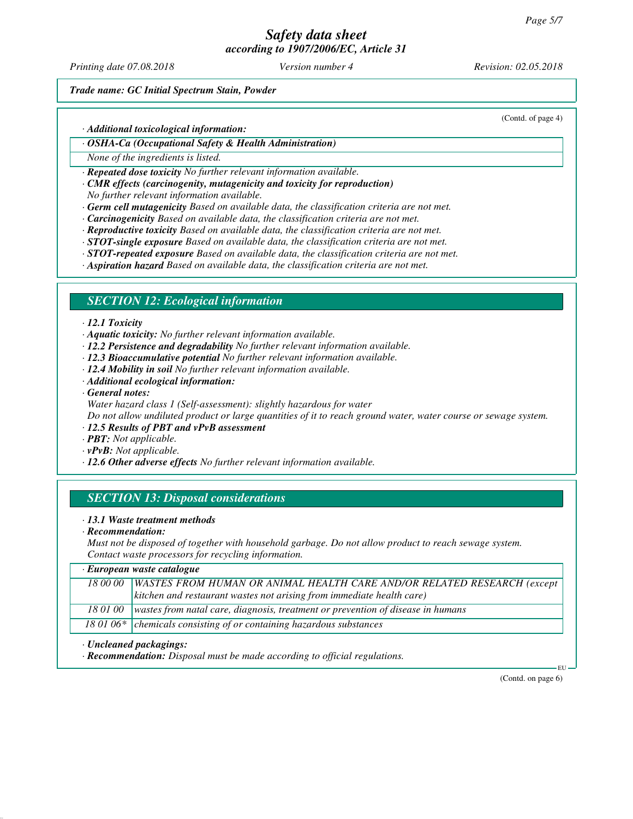*Printing date 07.08.2018 Version number 4 Revision: 02.05.2018*

(Contd. of page 4)

*Trade name: GC Initial Spectrum Stain, Powder*

*· Additional toxicological information:*

*· OSHA-Ca (Occupational Safety & Health Administration)*

*None of the ingredients is listed.*

*· Repeated dose toxicity No further relevant information available.*

*· CMR effects (carcinogenity, mutagenicity and toxicity for reproduction)*

*No further relevant information available.*

*· Germ cell mutagenicity Based on available data, the classification criteria are not met.*

- *· Carcinogenicity Based on available data, the classification criteria are not met.*
- *· Reproductive toxicity Based on available data, the classification criteria are not met.*

*· STOT-single exposure Based on available data, the classification criteria are not met.*

*· STOT-repeated exposure Based on available data, the classification criteria are not met.*

*· Aspiration hazard Based on available data, the classification criteria are not met.*

#### *SECTION 12: Ecological information*

#### *· 12.1 Toxicity*

*· Aquatic toxicity: No further relevant information available.*

- *· 12.2 Persistence and degradability No further relevant information available.*
- *· 12.3 Bioaccumulative potential No further relevant information available.*
- *· 12.4 Mobility in soil No further relevant information available.*
- *· Additional ecological information:*
- *· General notes:*
- *Water hazard class 1 (Self-assessment): slightly hazardous for water*

*Do not allow undiluted product or large quantities of it to reach ground water, water course or sewage system.*

- *· 12.5 Results of PBT and vPvB assessment*
- *· PBT: Not applicable.*
- *· vPvB: Not applicable.*
- *· 12.6 Other adverse effects No further relevant information available.*

#### *SECTION 13: Disposal considerations*

#### *· 13.1 Waste treatment methods*

*· Recommendation:*

*Must not be disposed of together with household garbage. Do not allow product to reach sewage system. Contact waste processors for recycling information.*

|          | $\cdot$ European waste catalogue                                                |  |
|----------|---------------------------------------------------------------------------------|--|
| 18 00 00 | <b>WASTES FROM HUMAN OR ANIMAL HEALTH CARE AND/OR RELATED RESEARCH (except</b>  |  |
|          | kitchen and restaurant wastes not arising from immediate health care)           |  |
| 18 01 00 | wastes from natal care, diagnosis, treatment or prevention of disease in humans |  |
|          | 18 01 06 $*$ chemicals consisting of or containing hazardous substances         |  |

*· Uncleaned packagings:*

*· Recommendation: Disposal must be made according to official regulations.*

(Contd. on page 6)

EU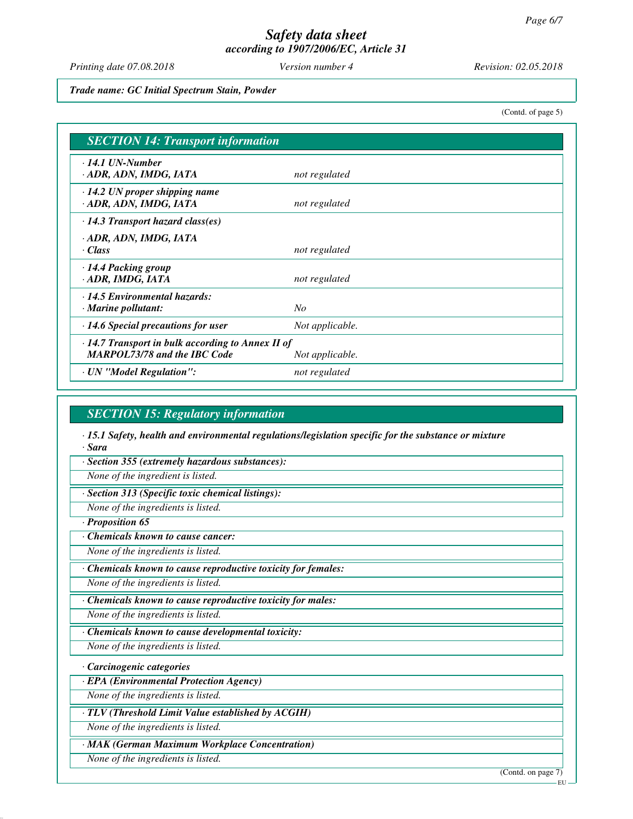*Printing date 07.08.2018 Version number 4 Revision: 02.05.2018*

*Trade name: GC Initial Spectrum Stain, Powder*

(Contd. of page 5)

| <b>SECTION 14: Transport information</b>                                                       |                 |  |
|------------------------------------------------------------------------------------------------|-----------------|--|
| $\cdot$ 14.1 UN-Number<br>· ADR, ADN, IMDG, IATA                                               | not regulated   |  |
| $\cdot$ 14.2 UN proper shipping name<br>· ADR, ADN, IMDG, IATA                                 | not regulated   |  |
| $\cdot$ 14.3 Transport hazard class(es)                                                        |                 |  |
| · ADR, ADN, IMDG, IATA<br>· Class                                                              | not regulated   |  |
| · 14.4 Packing group<br>· ADR, IMDG, IATA                                                      | not regulated   |  |
| $\cdot$ 14.5 Environmental hazards:<br>$\cdot$ Marine pollutant:                               | No              |  |
| $\cdot$ 14.6 Special precautions for user                                                      | Not applicable. |  |
| $\cdot$ 14.7 Transport in bulk according to Annex II of<br><b>MARPOL73/78 and the IBC Code</b> | Not applicable. |  |
| · UN "Model Regulation":                                                                       | not regulated   |  |

#### *SECTION 15: Regulatory information*

*· 15.1 Safety, health and environmental regulations/legislation specific for the substance or mixture · Sara*

*· Section 355 (extremely hazardous substances):*

*None of the ingredient is listed.*

*· Section 313 (Specific toxic chemical listings):*

*None of the ingredients is listed.*

*· Proposition 65*

*· Chemicals known to cause cancer:*

*None of the ingredients is listed.*

*· Chemicals known to cause reproductive toxicity for females:*

*None of the ingredients is listed.*

*· Chemicals known to cause reproductive toxicity for males:*

*None of the ingredients is listed.*

*· Chemicals known to cause developmental toxicity:*

*None of the ingredients is listed.*

*· Carcinogenic categories*

*· EPA (Environmental Protection Agency)*

*None of the ingredients is listed.*

*· TLV (Threshold Limit Value established by ACGIH)*

*None of the ingredients is listed.*

*· MAK (German Maximum Workplace Concentration)*

*None of the ingredients is listed.*

(Contd. on page 7)

**EU**